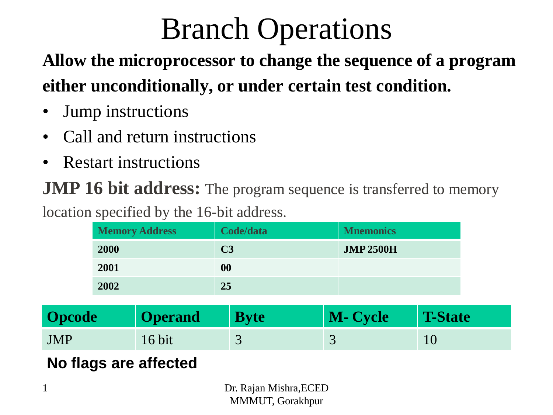# Branch Operations

# **Allow the microprocessor to change the sequence of a program either unconditionally, or under certain test condition.**

- Jump instructions
- Call and return instructions
- Restart instructions

**JMP 16 bit address:** The program sequence is transferred to memory

location specified by the 16-bit address.

|               |      | <b>Memory Address</b> |                | Code/data   | <b>Mnemonics</b> |                |
|---------------|------|-----------------------|----------------|-------------|------------------|----------------|
|               | 2000 |                       | C <sub>3</sub> |             | <b>JMP 2500H</b> |                |
|               | 2001 |                       | 00             |             |                  |                |
|               | 2002 |                       | 25             |             |                  |                |
| <b>Opcode</b> |      | <b>Operand</b>        |                | <b>Byte</b> | <b>M-Cycle</b>   | <b>T-State</b> |
| JMP           |      | $16$ bit              |                |             |                  |                |

### **No flags are affected**

1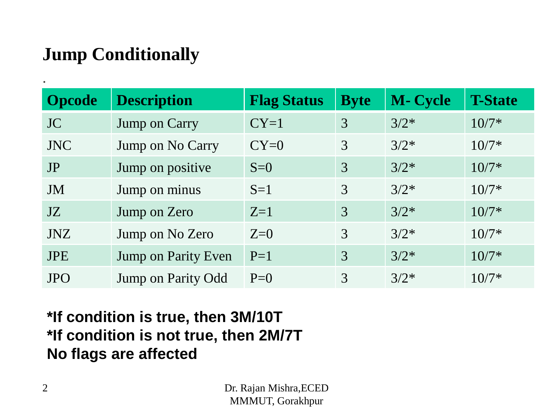## **Jump Conditionally**

| <b>Opcode</b> | <b>Description</b>         | <b>Flag Status</b> | <b>Byte</b> | <b>M-Cycle</b> | <b>T-State</b> |
|---------------|----------------------------|--------------------|-------------|----------------|----------------|
| JC            | Jump on Carry              | $CY=1$             | 3           | $3/2*$         | $10/7*$        |
| <b>JNC</b>    | Jump on No Carry           | $CY=0$             | 3           | $3/2*$         | $10/7*$        |
| JP            | Jump on positive           | $S=0$              | 3           | $3/2*$         | $10/7*$        |
| JM            | Jump on minus              | $S=1$              | 3           | $3/2*$         | $10/7*$        |
| JZ            | Jump on Zero               | $Z=1$              | 3           | $3/2*$         | $10/7*$        |
| JNZ           | Jump on No Zero            | $Z=0$              | 3           | $3/2*$         | $10/7*$        |
| <b>JPE</b>    | <b>Jump on Parity Even</b> | $P=1$              | 3           | $3/2*$         | $10/7*$        |
| <b>JPO</b>    | Jump on Parity Odd         | $P=0$              | 3           | $3/2*$         | $10/7*$        |

#### **\*If condition is true, then 3M/10T \*If condition is not true, then 2M/7T No flags are affected**

.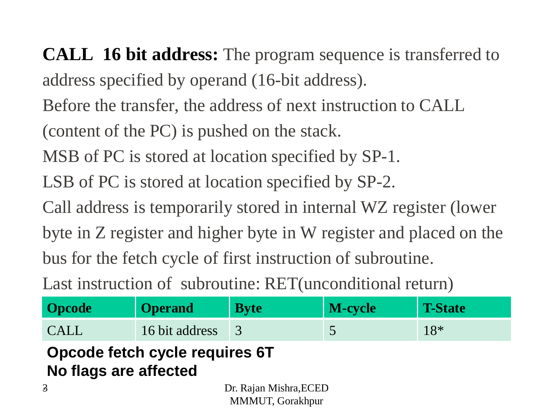**CALL 16 bit address:** The program sequence is transferred to address specified by operand (16-bit address).

Before the transfer, the address of next instruction to CALL

(content of the PC) is pushed on the stack.

MSB of PC is stored at location specified by SP-1.

LSB of PC is stored at location specified by SP-2.

Call address is temporarily stored in internal WZ register (lower

byte in Z register and higher byte in W register and placed on the bus for the fetch cycle of first instruction of subroutine.

Last instruction of subroutine: RET(unconditional return)

| <b>Opcode</b> | <b>Operand</b> | <b>Byte</b> | <b>M-cycle</b> | T-State |
|---------------|----------------|-------------|----------------|---------|
| CALL          | 16 bit address |             | ັ              | $18*$   |

#### **Opcode fetch cycle requires 6T No flags are affected**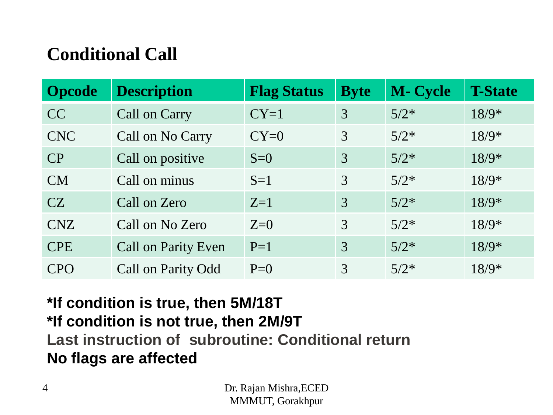## **Conditional Call**

| <b>Opcode</b> | <b>Description</b>         | <b>Flag Status</b> | <b>Byte</b> | <b>M-Cycle</b> | <b>T-State</b> |
|---------------|----------------------------|--------------------|-------------|----------------|----------------|
| CC            | Call on Carry              | $CY=1$             | 3           | $5/2*$         | $18/9*$        |
| <b>CNC</b>    | Call on No Carry           | $CY=0$             | 3           | $5/2*$         | $18/9*$        |
| CP            | Call on positive           | $S=0$              | 3           | $5/2*$         | $18/9*$        |
| <b>CM</b>     | Call on minus              | $S=1$              | 3           | $5/2*$         | $18/9*$        |
| CZ            | Call on Zero               | $Z=1$              | 3           | $5/2*$         | $18/9*$        |
| CNZ           | Call on No Zero            | $Z=0$              | 3           | $5/2*$         | $18/9*$        |
| <b>CPE</b>    | <b>Call on Parity Even</b> | $P=1$              | 3           | $5/2*$         | $18/9*$        |
| <b>CPO</b>    | Call on Parity Odd         | $P=0$              | 3           | $5/2*$         | $18/9*$        |

**\*If condition is true, then 5M/18T \*If condition is not true, then 2M/9T Last instruction of subroutine: Conditional return No flags are affected**

> Dr. Rajan Mishra,ECED MMMUT, Gorakhpur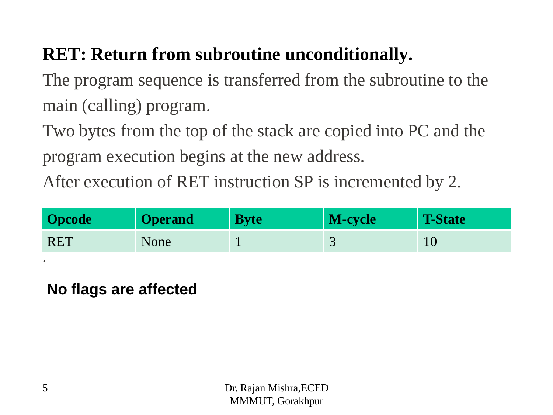## **RET: Return from subroutine unconditionally.**

The program sequence is transferred from the subroutine to the main (calling) program.

Two bytes from the top of the stack are copied into PC and the program execution begins at the new address.

After execution of RET instruction SP is incremented by 2.

| <b>Opcode</b> | <b>Operand</b> | <b>Byte</b> | <b>M-cycle</b> | <b>T-State</b> |
|---------------|----------------|-------------|----------------|----------------|
| <b>RET</b>    | None           |             |                |                |
| $\bullet$     |                |             |                |                |

**No flags are affected**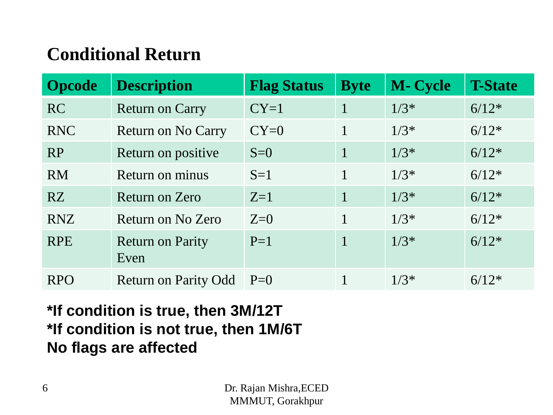## **Conditional Return**

| <b>Opcode</b> | <b>Description</b>              | <b>Flag Status</b> | <b>Byte</b>  | <b>M-Cycle</b> | <b>T-State</b> |
|---------------|---------------------------------|--------------------|--------------|----------------|----------------|
| <b>RC</b>     | <b>Return on Carry</b>          | $CY=1$             | $\mathbf{1}$ | $1/3*$         | $6/12*$        |
| <b>RNC</b>    | <b>Return on No Carry</b>       | $CY=0$             | 1            | $1/3*$         | $6/12*$        |
| <b>RP</b>     | Return on positive              | $S=0$              | $\mathbf{1}$ | $1/3*$         | $6/12*$        |
| <b>RM</b>     | Return on minus                 | $S=1$              | $\mathbf{1}$ | $1/3*$         | $6/12*$        |
| RZ            | Return on Zero                  | $Z=1$              | $\mathbf{1}$ | $1/3*$         | $6/12*$        |
| <b>RNZ</b>    | Return on No Zero               | $Z=0$              | 1            | $1/3*$         | $6/12*$        |
| <b>RPE</b>    | <b>Return on Parity</b><br>Even | $P=1$              | $\mathbf{1}$ | $1/3*$         | $6/12*$        |
| <b>RPO</b>    | <b>Return on Parity Odd</b>     | $P=0$              |              | $1/3*$         | $6/12*$        |

#### **\*If condition is true, then 3M/12T \*If condition is not true, then 1M/6T No flags are affected**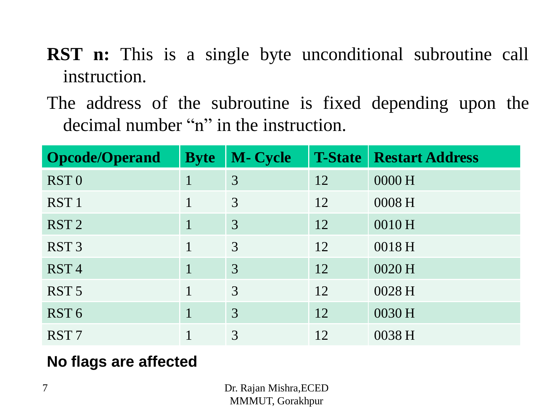- **RST n:** This is a single byte unconditional subroutine call instruction.
- The address of the subroutine is fixed depending upon the decimal number "n" in the instruction.

| <b>Opcode/Operand</b> | <b>Byte</b>  | <b>M-Cycle</b> |    | <b>T-State   Restart Address</b> |
|-----------------------|--------------|----------------|----|----------------------------------|
| RST <sub>0</sub>      | $\mathbf{1}$ | 3              | 12 | 0000H                            |
| RST <sub>1</sub>      |              | 3              | 12 | 0008 H                           |
| RST <sub>2</sub>      | $\mathbf{1}$ | 3              | 12 | 0010 H                           |
| RST <sub>3</sub>      | $\mathbf{1}$ | 3              | 12 | 0018 H                           |
| RST <sub>4</sub>      | $\mathbf{1}$ | 3              | 12 | 0020 H                           |
| RST <sub>5</sub>      | 1            | 3              | 12 | 0028 H                           |
| RST <sub>6</sub>      | $\mathbf{1}$ | 3              | 12 | 0030 H                           |
| RST <sub>7</sub>      |              | 3              | 12 | 0038 H                           |

#### **No flags are affected**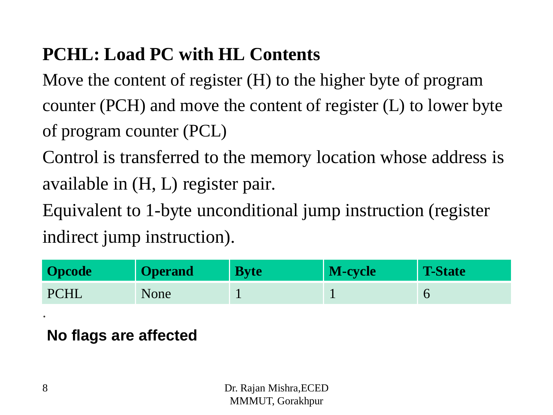## **PCHL: Load PC with HL Contents**

Move the content of register (H) to the higher byte of program counter (PCH) and move the content of register (L) to lower byte of program counter (PCL)

Control is transferred to the memory location whose address is available in (H, L) register pair.

Equivalent to 1-byte unconditional jump instruction (register indirect jump instruction).

| <b>Opcode</b> | <b>Operand</b> | <b>Byte</b> | M-cycle | T-State |
|---------------|----------------|-------------|---------|---------|
| PCHL          | None           |             |         |         |

**No flags are affected**

.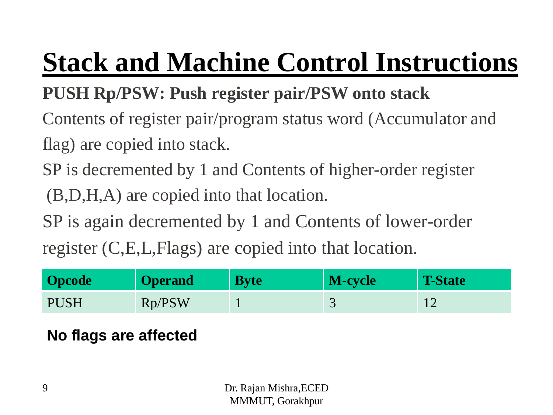# **Stack and Machine Control Instructions**

## **PUSH Rp/PSW: Push register pair/PSW onto stack**

Contents of register pair/program status word (Accumulator and flag) are copied into stack.

SP is decremented by 1 and Contents of higher-order register

(B,D,H,A) are copied into that location.

SP is again decremented by 1 and Contents of lower-order

register (C,E,L,Flags) are copied into that location.

| <b>Opcode</b> | <b>Operand</b> | <b>Byte</b> | <b>M-cycle</b> | T-State |
|---------------|----------------|-------------|----------------|---------|
| <b>PUSH</b>   | Rp/PSW         |             | ັ              |         |

#### **No flags are affected**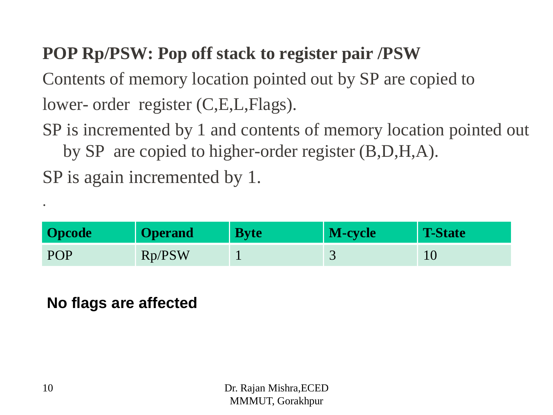## **POP Rp/PSW: Pop off stack to register pair /PSW**

Contents of memory location pointed out by SP are copied to lower- order register (C,E,L,Flags).

SP is incremented by 1 and contents of memory location pointed out by SP are copied to higher-order register (B,D,H,A).

SP is again incremented by 1.

| <b>Opcode</b> | <b>Operand</b> | <b>Byte</b> | <b>M-cycle</b> | T-State |
|---------------|----------------|-------------|----------------|---------|
| POP           | Rp/PSW         |             |                |         |

**No flags are affected**

.